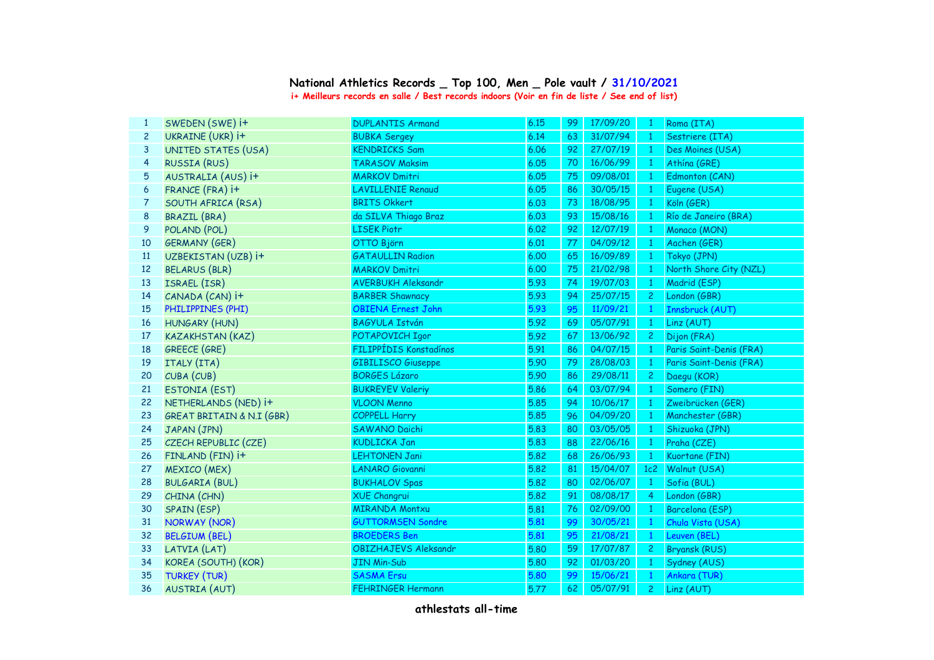## **National Athletics Records \_ Top 100, Men \_ Pole vault / 31/10/2021 i+ Meilleurs records en salle / Best records indoors (Voir en fin de liste / See end of list)**

| $\mathbf{1}$   | SWEDEN (SWE) i+                      | <b>DUPLANTIS Armand</b>   | 6.15 | 99 | 17/09/20 | $\blacksquare$ | Roma (ITA)              |
|----------------|--------------------------------------|---------------------------|------|----|----------|----------------|-------------------------|
| $\overline{c}$ | UKRAINE (UKR) i+                     | <b>BUBKA Sergey</b>       | 6.14 | 63 | 31/07/94 | $\overline{1}$ | Sestriere (ITA)         |
| 3              | UNITED STATES (USA)                  | <b>KENDRICKS Sam</b>      | 6.06 | 92 | 27/07/19 | $\overline{1}$ | Des Moines (USA)        |
| 4              | <b>RUSSIA (RUS)</b>                  | <b>TARASOV Maksim</b>     | 6.05 | 70 | 16/06/99 | $\mathbf{1}$   | Athína (GRE)            |
| 5              | AUSTRALIA (AUS) i+                   | <b>MARKOV Dmitri</b>      | 6.05 | 75 | 09/08/01 | $\overline{1}$ | Edmonton (CAN)          |
| 6              | FRANCE (FRA) i+                      | <b>LAVILLENIE Renaud</b>  | 6.05 | 86 | 30/05/15 | $\mathbf{1}$   | Eugene (USA)            |
| $\overline{7}$ | SOUTH AFRICA (RSA)                   | <b>BRITS Okkert</b>       | 6.03 | 73 | 18/08/95 | $\overline{1}$ | Köln (GER)              |
| 8              | <b>BRAZIL (BRA)</b>                  | da SILVA Thiago Braz      | 6.03 | 93 | 15/08/16 | $\mathbf{1}$   | Río de Janeiro (BRA)    |
| 9              | POLAND (POL)                         | <b>LISEK Piotr</b>        | 6.02 | 92 | 12/07/19 | $\overline{1}$ | Monaco (MON)            |
| 10             | <b>GERMANY (GER)</b>                 | OTTO Björn                | 6.01 | 77 | 04/09/12 | $\overline{1}$ | Aachen (GER)            |
| 11             | UZBEKISTAN (UZB) i+                  | <b>GATAULLIN Radion</b>   | 6.00 | 65 | 16/09/89 | $\overline{1}$ | Tokyo (JPN)             |
| 12             | <b>BELARUS (BLR)</b>                 | <b>MARKOV Dmitri</b>      | 6.00 | 75 | 21/02/98 | $\mathbf{1}$   | North Shore City (NZL)  |
| 13             | ISRAEL (ISR)                         | <b>AVERBUKH Aleksandr</b> | 5.93 | 74 | 19/07/03 | $\overline{1}$ | Madrid (ESP)            |
| 14             | CANADA (CAN) i+                      | <b>BARBER Shawnacy</b>    | 5.93 | 94 | 25/07/15 | $\overline{2}$ | London (GBR)            |
| 15             | PHILIPPINES (PHI)                    | <b>OBIENA Ernest John</b> | 5.93 | 95 | 11/09/21 | $\mathbf{1}$   | Innsbruck (AUT)         |
| 16             | <b>HUNGARY (HUN)</b>                 | <b>BAGYULA István</b>     | 5.92 | 69 | 05/07/91 | -1             | Linz (AUT)              |
| 17             | <b>KAZAKHSTAN (KAZ)</b>              | POTAPOVICH Igor           | 5.92 | 67 | 13/06/92 | $\mathbf{2}$   | Dijon (FRA)             |
| 18             | <b>GREECE (GRE)</b>                  | FILIPPÍDIS Konstadínos    | 5.91 | 86 | 04/07/15 |                | Paris Saint-Denis (FRA) |
| 19             | ITALY (ITA)                          | <b>GIBILISCO Giuseppe</b> | 5.90 | 79 | 28/08/03 | $\mathbf{1}$   | Paris Saint-Denis (FRA) |
| 20             | CUBA (CUB)                           | <b>BORGES Lázaro</b>      | 5.90 | 86 | 29/08/11 | $\mathbf{2}$   | Daegu (KOR)             |
| 21             | <b>ESTONIA (EST)</b>                 | <b>BUKREYEV Valeriy</b>   | 5.86 | 64 | 03/07/94 | $\overline{1}$ | Somero (FIN)            |
| 22             | NETHERLANDS (NED) i+                 | <b>VLOON Menno</b>        | 5.85 | 94 | 10/06/17 | $\overline{1}$ | Zweibrücken (GER)       |
| 23             | <b>GREAT BRITAIN &amp; N.I (GBR)</b> | <b>COPPELL Harry</b>      | 5.85 | 96 | 04/09/20 | $\overline{1}$ | Manchester (GBR)        |
| 24             | JAPAN (JPN)                          | <b>SAWANO Daichi</b>      | 5.83 | 80 | 03/05/05 | $\overline{1}$ | Shizuoka (JPN)          |
| 25             | CZECH REPUBLIC (CZE)                 | <b>KUDLICKA Jan</b>       | 5.83 | 88 | 22/06/16 | $\mathbf{1}$   | Praha (CZE)             |
| 26             | FINLAND (FIN) i+                     | <b>LEHTONEN Jani</b>      | 5.82 | 68 | 26/06/93 | $\overline{1}$ | Kuortane (FIN)          |
| 27             | <b>MEXICO</b> (MEX)                  | <b>LANARO Giovanni</b>    | 5.82 | 81 | 15/04/07 | 1c2            | Walnut (USA)            |
| 28             | <b>BULGARIA (BUL)</b>                | <b>BUKHALOV Spas</b>      | 5.82 | 80 | 02/06/07 | $\overline{1}$ | Sofia (BUL)             |
| 29             | CHINA (CHN)                          | <b>XUE Changrui</b>       | 5.82 | 91 | 08/08/17 | $\overline{4}$ | London (GBR)            |
| 30             | SPAIN (ESP)                          | <b>MIRANDA Montxu</b>     | 5.81 | 76 | 02/09/00 | $\mathbf{1}$   | Barcelona (ESP)         |
| 31             | <b>NORWAY (NOR)</b>                  | <b>GUTTORMSEN Sondre</b>  | 5.81 | 99 | 30/05/21 | $\mathbf{1}$   | Chula Vista (USA)       |
| 32             | <b>BELGIUM (BEL)</b>                 | <b>BROEDERS Ben</b>       | 5.81 | 95 | 21/08/21 | $\mathbf{1}$   | Leuven (BEL)            |
| 33             | LATVIA (LAT)                         | OBIZHAJEVS Aleksandr      | 5.80 | 59 | 17/07/87 | 2 <sup>1</sup> | <b>Bryansk (RUS)</b>    |
| 34             | KOREA (SOUTH) (KOR)                  | <b>JIN Min-Sub</b>        | 5.80 | 92 | 01/03/20 | $\overline{1}$ | Sydney (AUS)            |
| 35             | <b>TURKEY (TUR)</b>                  | <b>SASMA Ersu</b>         | 5.80 | 99 | 15/06/21 | $\mathbf{1}$   | Ankara (TUR)            |
| 36             | <b>AUSTRIA (AUT)</b>                 | <b>FEHRINGER Hermann</b>  | 5.77 | 62 | 05/07/91 | $2 -$          | Linz (AUT)              |
|                |                                      |                           |      |    |          |                |                         |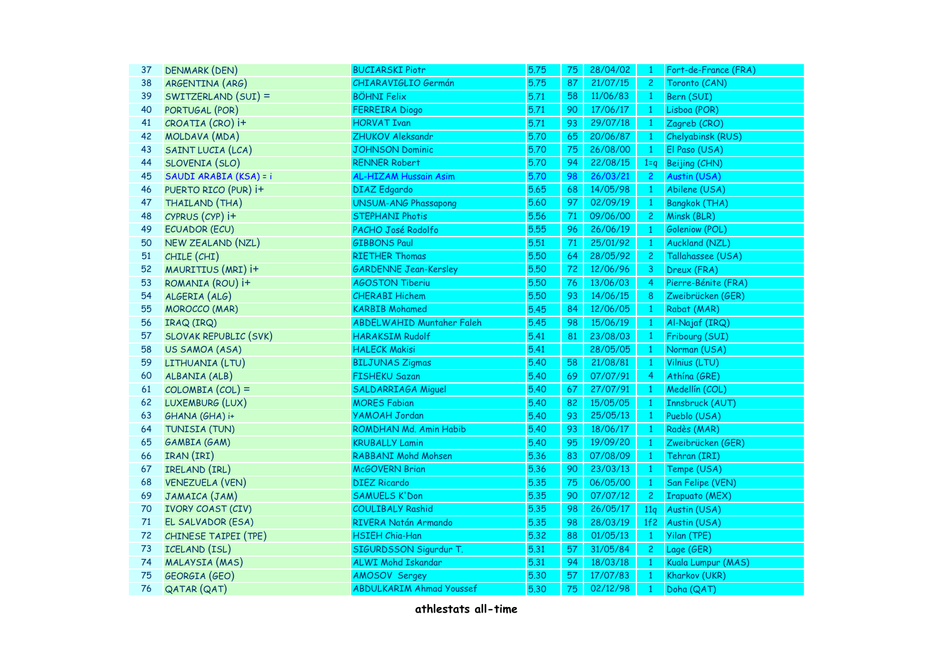| 37 | DENMARK (DEN)                | <b>BUCIARSKI Piotr</b>           | 5.75 | 75 | 28/04/02 | $\mathbf{1}$    | Fort-de-France (FRA)  |
|----|------------------------------|----------------------------------|------|----|----------|-----------------|-----------------------|
| 38 | ARGENTINA (ARG)              | CHIARAVIGLIO Germán              | 5.75 | 87 | 21/07/15 | 2 <sup>1</sup>  | Toronto (CAN)         |
| 39 | SWITZERLAND (SUI) =          | <b>BÖHNI Felix</b>               | 5.71 | 58 | 11/06/83 | $\mathbf{1}$    | Bern (SUI)            |
| 40 | PORTUGAL (POR)               | <b>FERREIRA</b> Diogo            | 5.71 | 90 | 17/06/17 | $\overline{1}$  | Lisboa (POR)          |
| 41 | CROATIA (CRO) i+             | <b>HORVAT Ivan</b>               | 5.71 | 93 | 29/07/18 | $\mathbf{1}$    | Zagreb (CRO)          |
| 42 | MOLDAVA (MDA)                | ZHUKOV Aleksandr                 | 5.70 | 65 | 20/06/87 | $\mathbf{1}$    | Chelyabinsk (RUS)     |
| 43 | SAINT LUCIA (LCA)            | <b>JOHNSON Dominic</b>           | 5.70 | 75 | 26/08/00 | $\overline{1}$  | El Paso (USA)         |
| 44 | SLOVENIA (SLO)               | <b>RENNER Robert</b>             | 5.70 | 94 | 22/08/15 | $1 = q$         | Beijing (CHN)         |
| 45 | SAUDI ARABIA (KSA) = i       | <b>AL-HIZAM Hussain Asim</b>     | 5.70 | 98 | 26/03/21 | $\overline{2}$  | Austin (USA)          |
| 46 | PUERTO RICO (PUR) i+         | <b>DIAZ</b> Edgardo              | 5.65 | 68 | 14/05/98 | $\vert 1 \vert$ | Abilene (USA)         |
| 47 | THAILAND (THA)               | <b>UNSUM-ANG Phassapong</b>      | 5.60 | 97 | 02/09/19 | $\mathbf{1}$    | <b>Bangkok (THA)</b>  |
| 48 | CYPRUS (CYP) i+              | <b>STEPHANI Photis</b>           | 5.56 | 71 | 09/06/00 | $\mathbf{2}$    | Minsk (BLR)           |
| 49 | <b>ECUADOR (ECU)</b>         | PACHO José Rodolfo               | 5.55 | 96 | 26/06/19 | $\bullet$       | Goleniow (POL)        |
| 50 | NEW ZEALAND (NZL)            | <b>GIBBONS Paul</b>              | 5.51 | 71 | 25/01/92 | $\mathbf{1}$    | <b>Auckland (NZL)</b> |
| 51 | CHILE (CHI)                  | <b>RIETHER Thomas</b>            | 5.50 | 64 | 28/05/92 | $\overline{c}$  | Tallahassee (USA)     |
| 52 | MAURITIUS (MRI) i+           | <b>GARDENNE Jean-Kersley</b>     | 5.50 | 72 | 12/06/96 | 3               | Dreux (FRA)           |
| 53 | ROMANIA (ROU) i+             | <b>AGOSTON Tiberiu</b>           | 5.50 | 76 | 13/06/03 | $\overline{4}$  | Pierre-Bénite (FRA)   |
| 54 | ALGERIA (ALG)                | <b>CHERABI Hichem</b>            | 5.50 | 93 | 14/06/15 | 8               | Zweibrücken (GER)     |
| 55 | <b>MOROCCO (MAR)</b>         | <b>KARBIB Mohamed</b>            | 5.45 | 84 | 12/06/05 | $\mathbf{1}$    | Rabat (MAR)           |
| 56 | IRAQ (IRQ)                   | <b>ABDELWAHID Muntaher Faleh</b> | 5.45 | 98 | 15/06/19 | $\mathbf{1}$    | Al-Najaf (IRQ)        |
| 57 | <b>SLOVAK REPUBLIC (SVK)</b> | <b>HARAKSIM Rudolf</b>           | 5.41 | 81 | 23/08/03 | $\mathbf{1}$    | Fribourg (SUI)        |
| 58 | US SAMOA (ASA)               | <b>HALECK Makisi</b>             | 5.41 |    | 28/05/05 | $\mathbf{1}$    | Norman (USA)          |
| 59 | LITHUANIA (LTU)              | <b>BILJUNAS Zigmas</b>           | 5.40 | 58 | 21/08/81 | $\overline{1}$  | Vilnius (LTU)         |
| 60 | ALBANIA (ALB)                | <b>FISHEKU Sazan</b>             | 5.40 | 69 | 07/07/91 | $\overline{4}$  | Athína (GRE)          |
| 61 | $COLOMBIA (COL) =$           | <b>SALDARRIAGA Miguel</b>        | 5.40 | 67 | 27/07/91 | $\overline{1}$  | Medellín (COL)        |
| 62 | LUXEMBURG (LUX)              | <b>MORES Fabian</b>              | 5.40 | 82 | 15/05/05 | $\overline{1}$  | Innsbruck (AUT)       |
| 63 | GHANA (GHA) i+               | <b>YAMOAH Jordan</b>             | 5.40 | 93 | 25/05/13 | $\overline{1}$  | Pueblo (USA)          |
| 64 | TUNISIA (TUN)                | ROMDHAN Md. Amin Habib           | 5.40 | 93 | 18/06/17 | $\mathbf{1}$    | Radès (MAR)           |
| 65 | GAMBIA (GAM)                 | <b>KRUBALLY Lamin</b>            | 5.40 | 95 | 19/09/20 | $\mathbf{1}$    | Zweibrücken (GER)     |
| 66 | IRAN (IRI)                   | <b>RABBANI Mohd Mohsen</b>       | 5.36 | 83 | 07/08/09 | $\mathbf{1}$    | Tehran (IRI)          |
| 67 | IRELAND (IRL)                | <b>McGOVERN Brian</b>            | 5.36 | 90 | 23/03/13 | $\mathbf{1}$    | Tempe (USA)           |
| 68 | <b>VENEZUELA (VEN)</b>       | <b>DIEZ Ricardo</b>              | 5.35 | 75 | 06/05/00 | $\overline{1}$  | San Felipe (VEN)      |
| 69 | JAMAICA (JAM)                | <b>SAMUELS K'Don</b>             | 5.35 | 90 | 07/07/12 | $\mathbf{2}$    | <b>Irapuato (MEX)</b> |
| 70 | <b>IVORY COAST (CIV)</b>     | <b>COULIBALY Rashid</b>          | 5.35 | 98 | 26/05/17 | 11q             | Austin (USA)          |
| 71 | EL SALVADOR (ESA)            | RIVERA Natán Armando             | 5.35 | 98 | 28/03/19 | 1f2             | Austin (USA)          |
| 72 | CHINESE TAIPEI (TPE)         | <b>HSIEH Chia-Han</b>            | 5.32 | 88 | 01/05/13 | $\mathbf{1}$    | Yilan (TPE)           |
| 73 | ICELAND (ISL)                | SIGURDSSON Sigurdur T.           | 5.31 | 57 | 31/05/84 | $\overline{c}$  | Lage (GER)            |
| 74 | MALAYSIA (MAS)               | ALWI Mohd Iskandar               | 5.31 | 94 | 18/03/18 | $\mathbf{1}$    | Kuala Lumpur (MAS)    |
| 75 | GEORGIA (GEO)                | AMOSOV Sergey                    | 5.30 | 57 | 17/07/83 | $\mathbf{1}$    | Kharkov (UKR)         |
| 76 | <b>QATAR (QAT)</b>           | <b>ABDULKARIM Ahmad Youssef</b>  | 5.30 | 75 | 02/12/98 | $\overline{1}$  | Doha (QAT)            |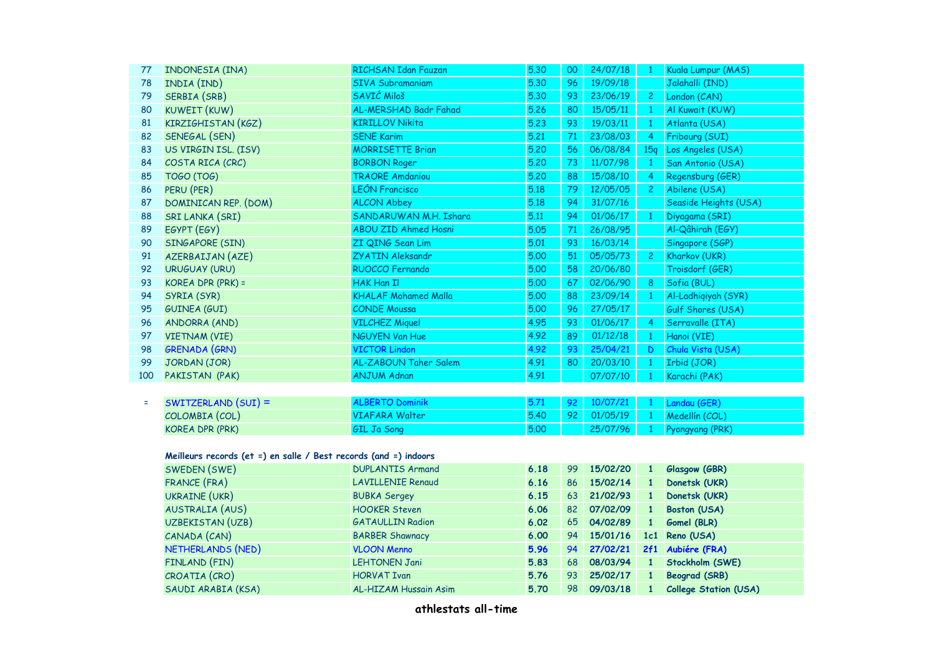| 77                                                               | INDONESIA (INA)        | <b>RICHSAN Idan Fauzan</b>   | 5.30 | 00 | 24/07/18 | $\mathbf{1}$     | Kuala Lumpur (MAS)           |  |
|------------------------------------------------------------------|------------------------|------------------------------|------|----|----------|------------------|------------------------------|--|
| 78                                                               | INDIA (IND)            | <b>SIVA Subramaniam</b>      | 5.30 | 96 | 19/09/18 |                  | Jalahalli (IND)              |  |
| 79                                                               | SERBIA (SRB)           | SAVIĆ Miloš                  | 5.30 | 93 | 23/06/19 | $\overline{2}$   | London (CAN)                 |  |
| 80                                                               | KUWEIT (KUW)           | AL-MERSHAD Badr Fahad        | 5.26 | 80 | 15/05/11 | $\mathbf{1}$     | Al Kuwait (KUW)              |  |
| 81                                                               | KIRZIGHISTAN (KGZ)     | <b>KIRILLOV Nikita</b>       | 5.23 | 93 | 19/03/11 | $\mathbf{1}$     | Atlanta (USA)                |  |
| 82                                                               | SENEGAL (SEN)          | <b>SENE Karim</b>            | 5.21 | 71 | 23/08/03 | $\overline{4}$   | Fribourg (SUI)               |  |
| 83                                                               | US VIRGIN ISL. (ISV)   | <b>MORRISETTE Brian</b>      | 5.20 | 56 | 06/08/84 | 15q              | Los Angeles (USA)            |  |
| 84                                                               | COSTA RICA (CRC)       | <b>BORBON Roger</b>          | 5.20 | 73 | 11/07/98 | $\mathbf{1}$     | San Antonio (USA)            |  |
| 85                                                               | <b>TOGO (TOG)</b>      | <b>TRAORE Amdaniou</b>       | 5.20 | 88 | 15/08/10 | $\overline{4}$   | Regensburg (GER)             |  |
| 86                                                               | PERU (PER)             | <b>LEÓN Francisco</b>        | 5.18 | 79 | 12/05/05 | $\overline{2}$   | Abilene (USA)                |  |
| 87                                                               | DOMINICAN REP. (DOM)   | <b>ALCON Abbey</b>           | 5.18 | 94 | 31/07/16 |                  | Seaside Heights (USA)        |  |
| 88                                                               | SRI LANKA (SRI)        | SANDARUWAN M.H. Ishara       | 5.11 | 94 | 01/06/17 | $\mathbf{1}$     | Diyagama (SRI)               |  |
| 89                                                               | EGYPT (EGY)            | <b>ABOU ZID Ahmed Hosni</b>  | 5.05 | 71 | 26/08/95 |                  | Al-Qâhirah (EGY)             |  |
| 90                                                               | SINGAPORE (SIN)        | ZI QING Sean Lim             | 5.01 | 93 | 16/03/14 |                  | Singapore (SGP)              |  |
| 91                                                               | AZERBAIJAN (AZE)       | <b>ZYATIN Aleksandr</b>      | 5.00 | 51 | 05/05/73 | $\mathbf{2}$     | Kharkov (UKR)                |  |
| 92                                                               | <b>URUGUAY (URU)</b>   | RUOCCO Fernando              | 5.00 | 58 | 20/06/80 |                  | Troisdorf (GER)              |  |
| 93                                                               | KOREA DPR (PRK) =      | <b>HAK Han II</b>            | 5.00 | 67 | 02/06/90 | $\boldsymbol{8}$ | Sofia (BUL)                  |  |
| 94                                                               | SYRIA (SYR)            | <b>KHALAF Mohamed Malla</b>  | 5.00 | 88 | 23/09/14 | $\mathbf{1}$     | Al-Ladhiqiyah (SYR)          |  |
| 95                                                               | <b>GUINEA (GUI)</b>    | <b>CONDE Moussa</b>          | 5.00 | 96 | 27/05/17 |                  | Gulf Shores (USA)            |  |
| 96                                                               | <b>ANDORRA (AND)</b>   | <b>VILCHEZ Miquel</b>        | 4.95 | 93 | 01/06/17 | $\overline{4}$   | Serravalle (ITA)             |  |
| 97                                                               | <b>VIETNAM (VIE)</b>   | <b>NGUYEN Van Hue</b>        | 4.92 | 89 | 01/12/18 | $\mathbf{1}$     | Hanoi (VIE)                  |  |
| 98                                                               | <b>GRENADA (GRN)</b>   | <b>VICTOR Lindon</b>         | 4.92 | 93 | 25/04/21 | D                | Chula Vista (USA)            |  |
| 99                                                               | JORDAN (JOR)           | AL-ZABOUN Taher Salem        | 4.91 | 80 | 20/03/10 | $\mathbf{1}$     | Irbid (JOR)                  |  |
| 100                                                              | PAKISTAN (PAK)         | <b>ANJUM Adnan</b>           | 4.91 |    | 07/07/10 | $\overline{1}$   | Karachi (PAK)                |  |
|                                                                  |                        |                              |      |    |          |                  |                              |  |
| Ξ                                                                | SWITZERLAND (SUI) =    | <b>ALBERTO Dominik</b>       | 5.71 | 92 | 10/07/21 | $\overline{1}$   | Landau (GER)                 |  |
|                                                                  | COLOMBIA (COL)         | <b>VIAFARA Walter</b>        | 5.40 | 92 | 01/05/19 | $\vert 1 \vert$  | Medellín (COL)               |  |
|                                                                  | <b>KOREA DPR (PRK)</b> | <b>GIL Ja Song</b>           | 5.00 |    | 25/07/96 | $\mathbf{1}$     | Pyongyang (PRK)              |  |
|                                                                  |                        |                              |      |    |          |                  |                              |  |
| Meilleurs records (et =) en salle / Best records (and =) indoors |                        |                              |      |    |          |                  |                              |  |
|                                                                  | SWEDEN (SWE)           | <b>DUPLANTIS Armand</b>      | 6.18 | 99 | 15/02/20 | $\mathbf{1}$     | Glasgow (GBR)                |  |
|                                                                  | FRANCE (FRA)           | <b>LAVILLENIE Renaud</b>     | 6.16 | 86 | 15/02/14 | $\mathbf{1}$     | Donetsk (UKR)                |  |
|                                                                  | <b>UKRAINE (UKR)</b>   | <b>BUBKA Sergey</b>          | 6.15 | 63 | 21/02/93 | $\mathbf{1}$     | Donetsk (UKR)                |  |
|                                                                  | <b>AUSTRALIA (AUS)</b> | <b>HOOKER Steven</b>         | 6.06 | 82 | 07/02/09 | $\mathbf{1}$     | Boston (USA)                 |  |
|                                                                  | UZBEKISTAN (UZB)       | <b>GATAULLIN Radion</b>      | 6.02 | 65 | 04/02/89 | $\mathbf{1}$     | Gomel (BLR)                  |  |
|                                                                  | CANADA (CAN)           | <b>BARBER Shawnacy</b>       | 6.00 | 94 | 15/01/16 |                  | 1c1 Reno (USA)               |  |
|                                                                  | NETHERLANDS (NED)      | <b>VLOON Menno</b>           | 5.96 | 94 | 27/02/21 |                  | 2f1 Aubiére (FRA)            |  |
|                                                                  | FINLAND (FIN)          | <b>LEHTONEN Jani</b>         | 5.83 | 68 | 08/03/94 | $\mathbf{1}$     | Stockholm (SWE)              |  |
|                                                                  | CROATIA (CRO)          | <b>HORVAT Ivan</b>           | 5.76 | 93 | 25/02/17 | $\mathbf{1}$     | <b>Beograd (SRB)</b>         |  |
|                                                                  | SAUDI ARABIA (KSA)     | <b>AL-HIZAM Hussain Asim</b> | 5.70 | 98 | 09/03/18 | $\mathbf{1}$     | <b>College Station (USA)</b> |  |
|                                                                  |                        |                              |      |    |          |                  |                              |  |